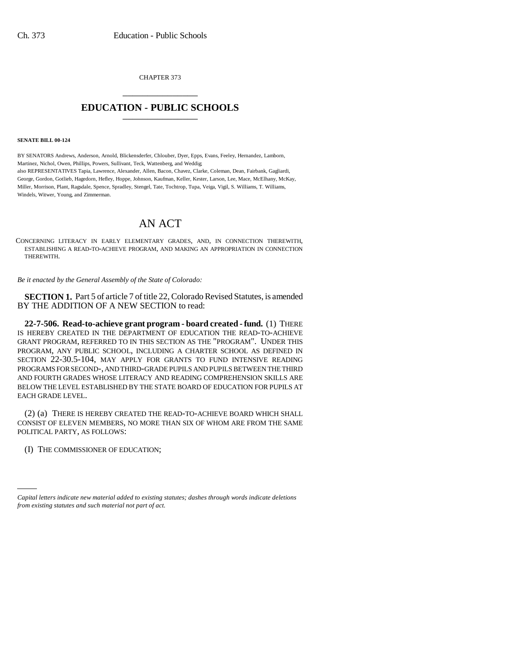CHAPTER 373 \_\_\_\_\_\_\_\_\_\_\_\_\_\_\_

## **EDUCATION - PUBLIC SCHOOLS** \_\_\_\_\_\_\_\_\_\_\_\_\_\_\_

**SENATE BILL 00-124** 

BY SENATORS Andrews, Anderson, Arnold, Blickensderfer, Chlouber, Dyer, Epps, Evans, Feeley, Hernandez, Lamborn, Martinez, Nichol, Owen, Phillips, Powers, Sullivant, Teck, Wattenberg, and Weddig; also REPRESENTATIVES Tapia, Lawrence, Alexander, Allen, Bacon, Chavez, Clarke, Coleman, Dean, Fairbank, Gagliardi, George, Gordon, Gotlieb, Hagedorn, Hefley, Hoppe, Johnson, Kaufman, Keller, Kester, Larson, Lee, Mace, McElhany, McKay, Miller, Morrison, Plant, Ragsdale, Spence, Spradley, Stengel, Tate, Tochtrop, Tupa, Veiga, Vigil, S. Williams, T. Williams, Windels, Witwer, Young, and Zimmerman.

## AN ACT

CONCERNING LITERACY IN EARLY ELEMENTARY GRADES, AND, IN CONNECTION THEREWITH, ESTABLISHING A READ-TO-ACHIEVE PROGRAM, AND MAKING AN APPROPRIATION IN CONNECTION THEREWITH.

*Be it enacted by the General Assembly of the State of Colorado:*

**SECTION 1.** Part 5 of article 7 of title 22, Colorado Revised Statutes, is amended BY THE ADDITION OF A NEW SECTION to read:

**22-7-506. Read-to-achieve grant program - board created - fund.** (1) THERE IS HEREBY CREATED IN THE DEPARTMENT OF EDUCATION THE READ-TO-ACHIEVE GRANT PROGRAM, REFERRED TO IN THIS SECTION AS THE "PROGRAM". UNDER THIS PROGRAM, ANY PUBLIC SCHOOL, INCLUDING A CHARTER SCHOOL AS DEFINED IN SECTION 22-30.5-104, MAY APPLY FOR GRANTS TO FUND INTENSIVE READING PROGRAMS FOR SECOND-, AND THIRD-GRADE PUPILS AND PUPILS BETWEEN THE THIRD AND FOURTH GRADES WHOSE LITERACY AND READING COMPREHENSION SKILLS ARE BELOW THE LEVEL ESTABLISHED BY THE STATE BOARD OF EDUCATION FOR PUPILS AT EACH GRADE LEVEL.

(2) (a) THERE IS HEREBY CREATED THE READ-TO-ACHIEVE BOARD WHICH SHALL CONSIST OF ELEVEN MEMBERS, NO MORE THAN SIX OF WHOM ARE FROM THE SAME POLITICAL PARTY, AS FOLLOWS:

(I) THE COMMISSIONER OF EDUCATION;

*Capital letters indicate new material added to existing statutes; dashes through words indicate deletions from existing statutes and such material not part of act.*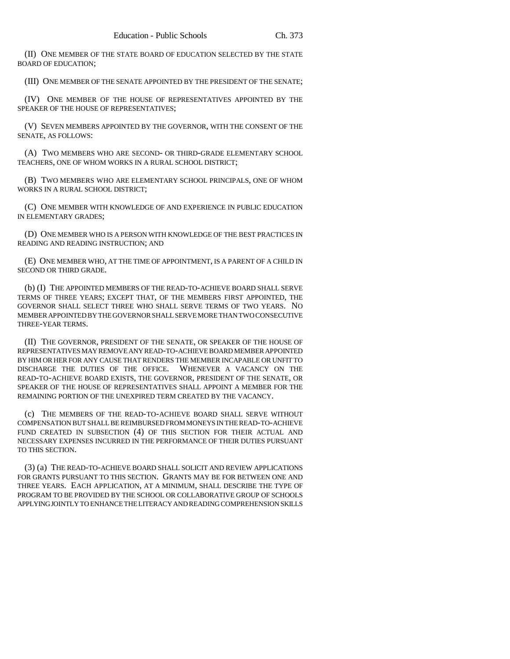(II) ONE MEMBER OF THE STATE BOARD OF EDUCATION SELECTED BY THE STATE BOARD OF EDUCATION;

(III) ONE MEMBER OF THE SENATE APPOINTED BY THE PRESIDENT OF THE SENATE;

(IV) ONE MEMBER OF THE HOUSE OF REPRESENTATIVES APPOINTED BY THE SPEAKER OF THE HOUSE OF REPRESENTATIVES;

(V) SEVEN MEMBERS APPOINTED BY THE GOVERNOR, WITH THE CONSENT OF THE SENATE, AS FOLLOWS:

(A) TWO MEMBERS WHO ARE SECOND- OR THIRD-GRADE ELEMENTARY SCHOOL TEACHERS, ONE OF WHOM WORKS IN A RURAL SCHOOL DISTRICT;

(B) TWO MEMBERS WHO ARE ELEMENTARY SCHOOL PRINCIPALS, ONE OF WHOM WORKS IN A RURAL SCHOOL DISTRICT;

(C) ONE MEMBER WITH KNOWLEDGE OF AND EXPERIENCE IN PUBLIC EDUCATION IN ELEMENTARY GRADES;

(D) ONE MEMBER WHO IS A PERSON WITH KNOWLEDGE OF THE BEST PRACTICES IN READING AND READING INSTRUCTION; AND

(E) ONE MEMBER WHO, AT THE TIME OF APPOINTMENT, IS A PARENT OF A CHILD IN SECOND OR THIRD GRADE.

(b) (I) THE APPOINTED MEMBERS OF THE READ-TO-ACHIEVE BOARD SHALL SERVE TERMS OF THREE YEARS; EXCEPT THAT, OF THE MEMBERS FIRST APPOINTED, THE GOVERNOR SHALL SELECT THREE WHO SHALL SERVE TERMS OF TWO YEARS. NO MEMBER APPOINTED BY THE GOVERNOR SHALL SERVE MORE THAN TWO CONSECUTIVE THREE-YEAR TERMS.

(II) THE GOVERNOR, PRESIDENT OF THE SENATE, OR SPEAKER OF THE HOUSE OF REPRESENTATIVES MAY REMOVE ANY READ-TO-ACHIEVE BOARD MEMBER APPOINTED BY HIM OR HER FOR ANY CAUSE THAT RENDERS THE MEMBER INCAPABLE OR UNFIT TO DISCHARGE THE DUTIES OF THE OFFICE. WHENEVER A VACANCY ON THE READ-TO-ACHIEVE BOARD EXISTS, THE GOVERNOR, PRESIDENT OF THE SENATE, OR SPEAKER OF THE HOUSE OF REPRESENTATIVES SHALL APPOINT A MEMBER FOR THE REMAINING PORTION OF THE UNEXPIRED TERM CREATED BY THE VACANCY.

(c) THE MEMBERS OF THE READ-TO-ACHIEVE BOARD SHALL SERVE WITHOUT COMPENSATION BUT SHALL BE REIMBURSED FROM MONEYS IN THE READ-TO-ACHIEVE FUND CREATED IN SUBSECTION (4) OF THIS SECTION FOR THEIR ACTUAL AND NECESSARY EXPENSES INCURRED IN THE PERFORMANCE OF THEIR DUTIES PURSUANT TO THIS SECTION.

(3) (a) THE READ-TO-ACHIEVE BOARD SHALL SOLICIT AND REVIEW APPLICATIONS FOR GRANTS PURSUANT TO THIS SECTION. GRANTS MAY BE FOR BETWEEN ONE AND THREE YEARS. EACH APPLICATION, AT A MINIMUM, SHALL DESCRIBE THE TYPE OF PROGRAM TO BE PROVIDED BY THE SCHOOL OR COLLABORATIVE GROUP OF SCHOOLS APPLYING JOINTLY TO ENHANCE THE LITERACY AND READING COMPREHENSION SKILLS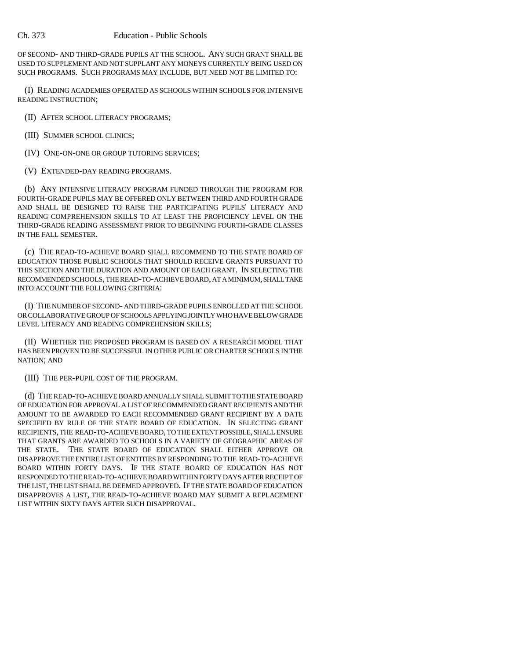## Ch. 373 Education - Public Schools

OF SECOND- AND THIRD-GRADE PUPILS AT THE SCHOOL. ANY SUCH GRANT SHALL BE USED TO SUPPLEMENT AND NOT SUPPLANT ANY MONEYS CURRENTLY BEING USED ON SUCH PROGRAMS. SUCH PROGRAMS MAY INCLUDE, BUT NEED NOT BE LIMITED TO:

(I) READING ACADEMIES OPERATED AS SCHOOLS WITHIN SCHOOLS FOR INTENSIVE READING INSTRUCTION;

(II) AFTER SCHOOL LITERACY PROGRAMS;

(III) SUMMER SCHOOL CLINICS;

(IV) ONE-ON-ONE OR GROUP TUTORING SERVICES;

(V) EXTENDED-DAY READING PROGRAMS.

(b) ANY INTENSIVE LITERACY PROGRAM FUNDED THROUGH THE PROGRAM FOR FOURTH-GRADE PUPILS MAY BE OFFERED ONLY BETWEEN THIRD AND FOURTH GRADE AND SHALL BE DESIGNED TO RAISE THE PARTICIPATING PUPILS' LITERACY AND READING COMPREHENSION SKILLS TO AT LEAST THE PROFICIENCY LEVEL ON THE THIRD-GRADE READING ASSESSMENT PRIOR TO BEGINNING FOURTH-GRADE CLASSES IN THE FALL SEMESTER.

(c) THE READ-TO-ACHIEVE BOARD SHALL RECOMMEND TO THE STATE BOARD OF EDUCATION THOSE PUBLIC SCHOOLS THAT SHOULD RECEIVE GRANTS PURSUANT TO THIS SECTION AND THE DURATION AND AMOUNT OF EACH GRANT. IN SELECTING THE RECOMMENDED SCHOOLS, THE READ-TO-ACHIEVE BOARD, AT A MINIMUM, SHALL TAKE INTO ACCOUNT THE FOLLOWING CRITERIA:

(I) THE NUMBER OF SECOND- AND THIRD-GRADE PUPILS ENROLLED AT THE SCHOOL OR COLLABORATIVE GROUP OF SCHOOLS APPLYING JOINTLY WHO HAVE BELOW GRADE LEVEL LITERACY AND READING COMPREHENSION SKILLS;

(II) WHETHER THE PROPOSED PROGRAM IS BASED ON A RESEARCH MODEL THAT HAS BEEN PROVEN TO BE SUCCESSFUL IN OTHER PUBLIC OR CHARTER SCHOOLS IN THE NATION; AND

(III) THE PER-PUPIL COST OF THE PROGRAM.

(d) THE READ-TO-ACHIEVE BOARD ANNUALLY SHALL SUBMIT TO THE STATE BOARD OF EDUCATION FOR APPROVAL A LIST OF RECOMMENDED GRANT RECIPIENTS AND THE AMOUNT TO BE AWARDED TO EACH RECOMMENDED GRANT RECIPIENT BY A DATE SPECIFIED BY RULE OF THE STATE BOARD OF EDUCATION. IN SELECTING GRANT RECIPIENTS, THE READ-TO-ACHIEVE BOARD, TO THE EXTENT POSSIBLE, SHALL ENSURE THAT GRANTS ARE AWARDED TO SCHOOLS IN A VARIETY OF GEOGRAPHIC AREAS OF THE STATE. THE STATE BOARD OF EDUCATION SHALL EITHER APPROVE OR DISAPPROVE THE ENTIRE LIST OF ENTITIES BY RESPONDING TO THE READ-TO-ACHIEVE BOARD WITHIN FORTY DAYS. IF THE STATE BOARD OF EDUCATION HAS NOT RESPONDED TO THE READ-TO-ACHIEVE BOARD WITHIN FORTY DAYS AFTER RECEIPT OF THE LIST, THE LIST SHALL BE DEEMED APPROVED. IF THE STATE BOARD OF EDUCATION DISAPPROVES A LIST, THE READ-TO-ACHIEVE BOARD MAY SUBMIT A REPLACEMENT LIST WITHIN SIXTY DAYS AFTER SUCH DISAPPROVAL.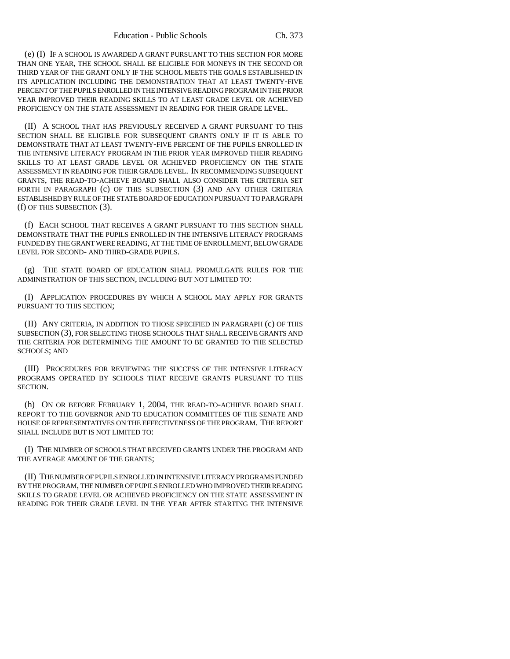(e) (I) IF A SCHOOL IS AWARDED A GRANT PURSUANT TO THIS SECTION FOR MORE THAN ONE YEAR, THE SCHOOL SHALL BE ELIGIBLE FOR MONEYS IN THE SECOND OR THIRD YEAR OF THE GRANT ONLY IF THE SCHOOL MEETS THE GOALS ESTABLISHED IN ITS APPLICATION INCLUDING THE DEMONSTRATION THAT AT LEAST TWENTY-FIVE PERCENT OF THE PUPILS ENROLLED IN THE INTENSIVE READING PROGRAM IN THE PRIOR YEAR IMPROVED THEIR READING SKILLS TO AT LEAST GRADE LEVEL OR ACHIEVED PROFICIENCY ON THE STATE ASSESSMENT IN READING FOR THEIR GRADE LEVEL.

(II) A SCHOOL THAT HAS PREVIOUSLY RECEIVED A GRANT PURSUANT TO THIS SECTION SHALL BE ELIGIBLE FOR SUBSEQUENT GRANTS ONLY IF IT IS ABLE TO DEMONSTRATE THAT AT LEAST TWENTY-FIVE PERCENT OF THE PUPILS ENROLLED IN THE INTENSIVE LITERACY PROGRAM IN THE PRIOR YEAR IMPROVED THEIR READING SKILLS TO AT LEAST GRADE LEVEL OR ACHIEVED PROFICIENCY ON THE STATE ASSESSMENT IN READING FOR THEIR GRADE LEVEL. IN RECOMMENDING SUBSEQUENT GRANTS, THE READ-TO-ACHIEVE BOARD SHALL ALSO CONSIDER THE CRITERIA SET FORTH IN PARAGRAPH (c) OF THIS SUBSECTION (3) AND ANY OTHER CRITERIA ESTABLISHED BY RULE OF THE STATE BOARD OF EDUCATION PURSUANT TO PARAGRAPH (f) OF THIS SUBSECTION (3).

(f) EACH SCHOOL THAT RECEIVES A GRANT PURSUANT TO THIS SECTION SHALL DEMONSTRATE THAT THE PUPILS ENROLLED IN THE INTENSIVE LITERACY PROGRAMS FUNDED BY THE GRANT WERE READING, AT THE TIME OF ENROLLMENT, BELOW GRADE LEVEL FOR SECOND- AND THIRD-GRADE PUPILS.

(g) THE STATE BOARD OF EDUCATION SHALL PROMULGATE RULES FOR THE ADMINISTRATION OF THIS SECTION, INCLUDING BUT NOT LIMITED TO:

(I) APPLICATION PROCEDURES BY WHICH A SCHOOL MAY APPLY FOR GRANTS PURSUANT TO THIS SECTION;

(II) ANY CRITERIA, IN ADDITION TO THOSE SPECIFIED IN PARAGRAPH (c) OF THIS SUBSECTION (3), FOR SELECTING THOSE SCHOOLS THAT SHALL RECEIVE GRANTS AND THE CRITERIA FOR DETERMINING THE AMOUNT TO BE GRANTED TO THE SELECTED SCHOOLS; AND

(III) PROCEDURES FOR REVIEWING THE SUCCESS OF THE INTENSIVE LITERACY PROGRAMS OPERATED BY SCHOOLS THAT RECEIVE GRANTS PURSUANT TO THIS SECTION.

(h) ON OR BEFORE FEBRUARY 1, 2004, THE READ-TO-ACHIEVE BOARD SHALL REPORT TO THE GOVERNOR AND TO EDUCATION COMMITTEES OF THE SENATE AND HOUSE OF REPRESENTATIVES ON THE EFFECTIVENESS OF THE PROGRAM. THE REPORT SHALL INCLUDE BUT IS NOT LIMITED TO:

(I) THE NUMBER OF SCHOOLS THAT RECEIVED GRANTS UNDER THE PROGRAM AND THE AVERAGE AMOUNT OF THE GRANTS;

(II) THE NUMBER OF PUPILS ENROLLED IN INTENSIVE LITERACY PROGRAMS FUNDED BY THE PROGRAM, THE NUMBER OF PUPILS ENROLLED WHO IMPROVED THEIR READING SKILLS TO GRADE LEVEL OR ACHIEVED PROFICIENCY ON THE STATE ASSESSMENT IN READING FOR THEIR GRADE LEVEL IN THE YEAR AFTER STARTING THE INTENSIVE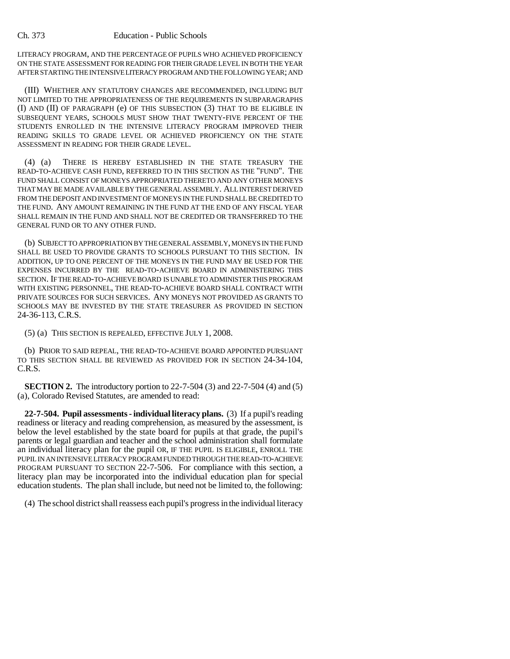LITERACY PROGRAM, AND THE PERCENTAGE OF PUPILS WHO ACHIEVED PROFICIENCY ON THE STATE ASSESSMENT FOR READING FOR THEIR GRADE LEVEL IN BOTH THE YEAR AFTER STARTING THE INTENSIVE LITERACY PROGRAM AND THE FOLLOWING YEAR; AND

(III) WHETHER ANY STATUTORY CHANGES ARE RECOMMENDED, INCLUDING BUT NOT LIMITED TO THE APPROPRIATENESS OF THE REQUIREMENTS IN SUBPARAGRAPHS (I) AND (II) OF PARAGRAPH (e) OF THIS SUBSECTION (3) THAT TO BE ELIGIBLE IN SUBSEQUENT YEARS, SCHOOLS MUST SHOW THAT TWENTY-FIVE PERCENT OF THE STUDENTS ENROLLED IN THE INTENSIVE LITERACY PROGRAM IMPROVED THEIR READING SKILLS TO GRADE LEVEL OR ACHIEVED PROFICIENCY ON THE STATE ASSESSMENT IN READING FOR THEIR GRADE LEVEL.

(4) (a) THERE IS HEREBY ESTABLISHED IN THE STATE TREASURY THE READ-TO-ACHIEVE CASH FUND, REFERRED TO IN THIS SECTION AS THE "FUND". THE FUND SHALL CONSIST OF MONEYS APPROPRIATED THERETO AND ANY OTHER MONEYS THAT MAY BE MADE AVAILABLE BY THE GENERAL ASSEMBLY. ALL INTEREST DERIVED FROM THE DEPOSIT AND INVESTMENT OF MONEYS IN THE FUND SHALL BE CREDITED TO THE FUND. ANY AMOUNT REMAINING IN THE FUND AT THE END OF ANY FISCAL YEAR SHALL REMAIN IN THE FUND AND SHALL NOT BE CREDITED OR TRANSFERRED TO THE GENERAL FUND OR TO ANY OTHER FUND.

(b) SUBJECT TO APPROPRIATION BY THE GENERAL ASSEMBLY, MONEYS IN THE FUND SHALL BE USED TO PROVIDE GRANTS TO SCHOOLS PURSUANT TO THIS SECTION. IN ADDITION, UP TO ONE PERCENT OF THE MONEYS IN THE FUND MAY BE USED FOR THE EXPENSES INCURRED BY THE READ-TO-ACHIEVE BOARD IN ADMINISTERING THIS SECTION. IF THE READ-TO-ACHIEVE BOARD IS UNABLE TO ADMINISTER THIS PROGRAM WITH EXISTING PERSONNEL, THE READ-TO-ACHIEVE BOARD SHALL CONTRACT WITH PRIVATE SOURCES FOR SUCH SERVICES. ANY MONEYS NOT PROVIDED AS GRANTS TO SCHOOLS MAY BE INVESTED BY THE STATE TREASURER AS PROVIDED IN SECTION 24-36-113, C.R.S.

(5) (a) THIS SECTION IS REPEALED, EFFECTIVE JULY 1, 2008.

(b) PRIOR TO SAID REPEAL, THE READ-TO-ACHIEVE BOARD APPOINTED PURSUANT TO THIS SECTION SHALL BE REVIEWED AS PROVIDED FOR IN SECTION 24-34-104, C.R.S.

**SECTION 2.** The introductory portion to 22-7-504 (3) and 22-7-504 (4) and (5) (a), Colorado Revised Statutes, are amended to read:

**22-7-504. Pupil assessments - individual literacy plans.** (3) If a pupil's reading readiness or literacy and reading comprehension, as measured by the assessment, is below the level established by the state board for pupils at that grade, the pupil's parents or legal guardian and teacher and the school administration shall formulate an individual literacy plan for the pupil OR, IF THE PUPIL IS ELIGIBLE, ENROLL THE PUPIL IN AN INTENSIVE LITERACY PROGRAM FUNDED THROUGH THE READ-TO-ACHIEVE PROGRAM PURSUANT TO SECTION 22-7-506. For compliance with this section, a literacy plan may be incorporated into the individual education plan for special education students. The plan shall include, but need not be limited to, the following:

(4) The school district shall reassess each pupil's progress in the individual literacy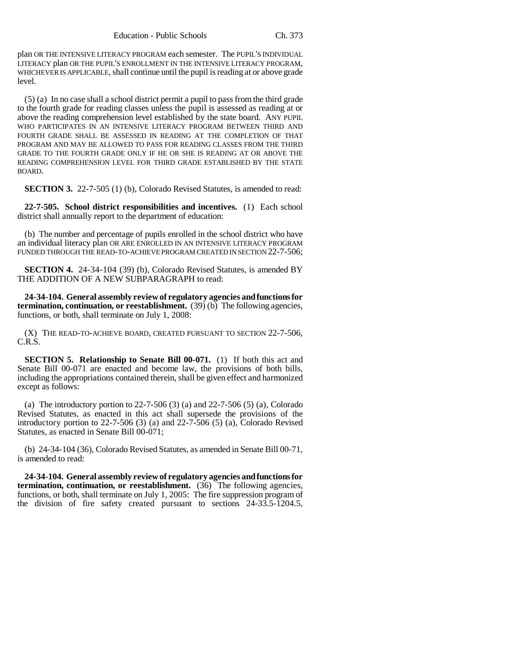plan OR THE INTENSIVE LITERACY PROGRAM each semester. The PUPIL'S INDIVIDUAL LITERACY plan OR THE PUPIL'S ENROLLMENT IN THE INTENSIVE LITERACY PROGRAM, WHICHEVER IS APPLICABLE, shall continue until the pupil is reading at or above grade level.

(5) (a) In no case shall a school district permit a pupil to pass from the third grade to the fourth grade for reading classes unless the pupil is assessed as reading at or above the reading comprehension level established by the state board. ANY PUPIL WHO PARTICIPATES IN AN INTENSIVE LITERACY PROGRAM BETWEEN THIRD AND FOURTH GRADE SHALL BE ASSESSED IN READING AT THE COMPLETION OF THAT PROGRAM AND MAY BE ALLOWED TO PASS FOR READING CLASSES FROM THE THIRD GRADE TO THE FOURTH GRADE ONLY IF HE OR SHE IS READING AT OR ABOVE THE READING COMPREHENSION LEVEL FOR THIRD GRADE ESTABLISHED BY THE STATE BOARD.

**SECTION 3.** 22-7-505 (1) (b), Colorado Revised Statutes, is amended to read:

**22-7-505. School district responsibilities and incentives.** (1) Each school district shall annually report to the department of education:

(b) The number and percentage of pupils enrolled in the school district who have an individual literacy plan OR ARE ENROLLED IN AN INTENSIVE LITERACY PROGRAM FUNDED THROUGH THE READ-TO-ACHIEVE PROGRAM CREATED IN SECTION 22-7-506;

**SECTION 4.** 24-34-104 (39) (b), Colorado Revised Statutes, is amended BY THE ADDITION OF A NEW SUBPARAGRAPH to read:

**24-34-104. General assembly review of regulatory agencies and functions for termination, continuation, or reestablishment.** (39) (b) The following agencies, functions, or both, shall terminate on July 1, 2008:

(X) THE READ-TO-ACHIEVE BOARD, CREATED PURSUANT TO SECTION 22-7-506, C.R.S.

**SECTION 5. Relationship to Senate Bill 00-071.** (1) If both this act and Senate Bill 00-071 are enacted and become law, the provisions of both bills, including the appropriations contained therein, shall be given effect and harmonized except as follows:

(a) The introductory portion to  $22-7-506$  (3) (a) and  $22-7-506$  (5) (a), Colorado Revised Statutes, as enacted in this act shall supersede the provisions of the introductory portion to 22-7-506 (3) (a) and 22-7-506 (5) (a), Colorado Revised Statutes, as enacted in Senate Bill 00-071;

(b) 24-34-104 (36), Colorado Revised Statutes, as amended in Senate Bill 00-71, is amended to read:

**24-34-104. General assembly review of regulatory agencies and functions for termination, continuation, or reestablishment.** (36) The following agencies, functions, or both, shall terminate on July 1, 2005: The fire suppression program of the division of fire safety created pursuant to sections 24-33.5-1204.5,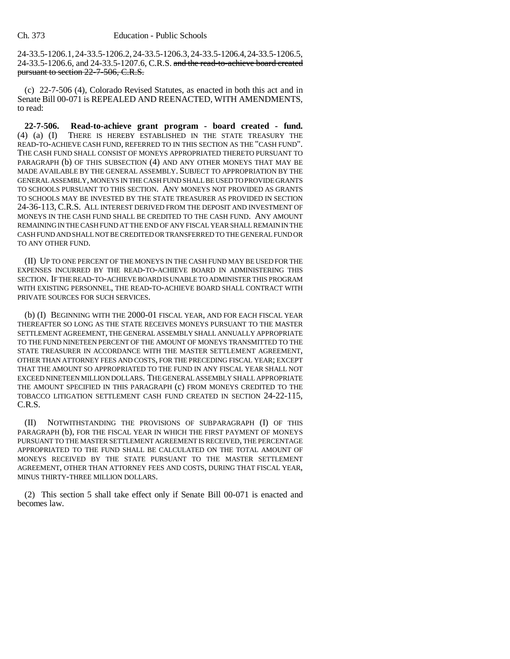24-33.5-1206.1, 24-33.5-1206.2, 24-33.5-1206.3, 24-33.5-1206.4, 24-33.5-1206.5, 24-33.5-1206.6, and 24-33.5-1207.6, C.R.S. and the read-to-achieve board created pursuant to section 22-7-506, C.R.S.

(c) 22-7-506 (4), Colorado Revised Statutes, as enacted in both this act and in Senate Bill 00-071 is REPEALED AND REENACTED, WITH AMENDMENTS, to read:

**22-7-506. Read-to-achieve grant program - board created - fund.** (4) (a) (I) THERE IS HEREBY ESTABLISHED IN THE STATE TREASURY THE READ-TO-ACHIEVE CASH FUND, REFERRED TO IN THIS SECTION AS THE "CASH FUND". THE CASH FUND SHALL CONSIST OF MONEYS APPROPRIATED THERETO PURSUANT TO PARAGRAPH (b) OF THIS SUBSECTION (4) AND ANY OTHER MONEYS THAT MAY BE MADE AVAILABLE BY THE GENERAL ASSEMBLY. SUBJECT TO APPROPRIATION BY THE GENERAL ASSEMBLY, MONEYS IN THE CASH FUND SHALL BE USED TO PROVIDE GRANTS TO SCHOOLS PURSUANT TO THIS SECTION. ANY MONEYS NOT PROVIDED AS GRANTS TO SCHOOLS MAY BE INVESTED BY THE STATE TREASURER AS PROVIDED IN SECTION 24-36-113, C.R.S. ALL INTEREST DERIVED FROM THE DEPOSIT AND INVESTMENT OF MONEYS IN THE CASH FUND SHALL BE CREDITED TO THE CASH FUND. ANY AMOUNT REMAINING IN THE CASH FUND AT THE END OF ANY FISCAL YEAR SHALL REMAIN IN THE CASH FUND AND SHALL NOT BE CREDITED OR TRANSFERRED TO THE GENERAL FUND OR TO ANY OTHER FUND.

(II) UP TO ONE PERCENT OF THE MONEYS IN THE CASH FUND MAY BE USED FOR THE EXPENSES INCURRED BY THE READ-TO-ACHIEVE BOARD IN ADMINISTERING THIS SECTION. IF THE READ-TO-ACHIEVE BOARD IS UNABLE TO ADMINISTER THIS PROGRAM WITH EXISTING PERSONNEL, THE READ-TO-ACHIEVE BOARD SHALL CONTRACT WITH PRIVATE SOURCES FOR SUCH SERVICES.

(b) (I) BEGINNING WITH THE 2000-01 FISCAL YEAR, AND FOR EACH FISCAL YEAR THEREAFTER SO LONG AS THE STATE RECEIVES MONEYS PURSUANT TO THE MASTER SETTLEMENT AGREEMENT, THE GENERAL ASSEMBLY SHALL ANNUALLY APPROPRIATE TO THE FUND NINETEEN PERCENT OF THE AMOUNT OF MONEYS TRANSMITTED TO THE STATE TREASURER IN ACCORDANCE WITH THE MASTER SETTLEMENT AGREEMENT, OTHER THAN ATTORNEY FEES AND COSTS, FOR THE PRECEDING FISCAL YEAR; EXCEPT THAT THE AMOUNT SO APPROPRIATED TO THE FUND IN ANY FISCAL YEAR SHALL NOT EXCEED NINETEEN MILLION DOLLARS. THE GENERAL ASSEMBLY SHALL APPROPRIATE THE AMOUNT SPECIFIED IN THIS PARAGRAPH (c) FROM MONEYS CREDITED TO THE TOBACCO LITIGATION SETTLEMENT CASH FUND CREATED IN SECTION 24-22-115, C.R.S.

(II) NOTWITHSTANDING THE PROVISIONS OF SUBPARAGRAPH (I) OF THIS PARAGRAPH (b), FOR THE FISCAL YEAR IN WHICH THE FIRST PAYMENT OF MONEYS PURSUANT TO THE MASTER SETTLEMENT AGREEMENT IS RECEIVED, THE PERCENTAGE APPROPRIATED TO THE FUND SHALL BE CALCULATED ON THE TOTAL AMOUNT OF MONEYS RECEIVED BY THE STATE PURSUANT TO THE MASTER SETTLEMENT AGREEMENT, OTHER THAN ATTORNEY FEES AND COSTS, DURING THAT FISCAL YEAR, MINUS THIRTY-THREE MILLION DOLLARS.

(2) This section 5 shall take effect only if Senate Bill 00-071 is enacted and becomes law.